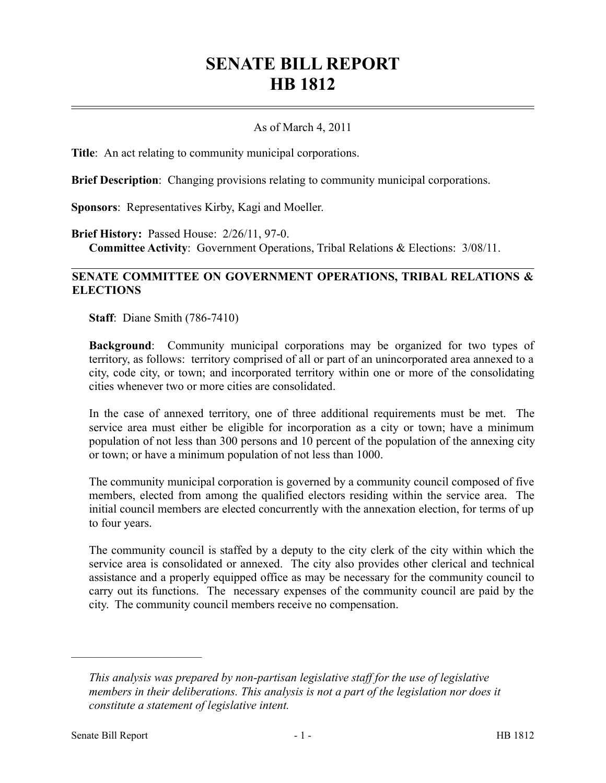# **SENATE BILL REPORT HB 1812**

#### As of March 4, 2011

**Title**: An act relating to community municipal corporations.

**Brief Description**: Changing provisions relating to community municipal corporations.

**Sponsors**: Representatives Kirby, Kagi and Moeller.

**Brief History:** Passed House: 2/26/11, 97-0. **Committee Activity**: Government Operations, Tribal Relations & Elections: 3/08/11.

### **SENATE COMMITTEE ON GOVERNMENT OPERATIONS, TRIBAL RELATIONS & ELECTIONS**

**Staff**: Diane Smith (786-7410)

**Background**: Community municipal corporations may be organized for two types of territory, as follows: territory comprised of all or part of an unincorporated area annexed to a city, code city, or town; and incorporated territory within one or more of the consolidating cities whenever two or more cities are consolidated.

In the case of annexed territory, one of three additional requirements must be met. The service area must either be eligible for incorporation as a city or town; have a minimum population of not less than 300 persons and 10 percent of the population of the annexing city or town; or have a minimum population of not less than 1000.

The community municipal corporation is governed by a community council composed of five members, elected from among the qualified electors residing within the service area. The initial council members are elected concurrently with the annexation election, for terms of up to four years.

The community council is staffed by a deputy to the city clerk of the city within which the service area is consolidated or annexed. The city also provides other clerical and technical assistance and a properly equipped office as may be necessary for the community council to carry out its functions. The necessary expenses of the community council are paid by the city. The community council members receive no compensation.

––––––––––––––––––––––

*This analysis was prepared by non-partisan legislative staff for the use of legislative members in their deliberations. This analysis is not a part of the legislation nor does it constitute a statement of legislative intent.*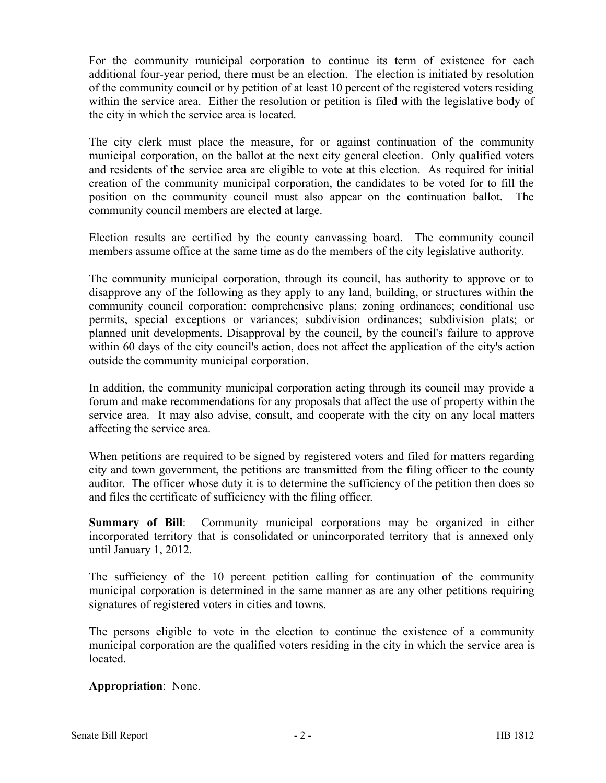For the community municipal corporation to continue its term of existence for each additional four-year period, there must be an election. The election is initiated by resolution of the community council or by petition of at least 10 percent of the registered voters residing within the service area. Either the resolution or petition is filed with the legislative body of the city in which the service area is located.

The city clerk must place the measure, for or against continuation of the community municipal corporation, on the ballot at the next city general election. Only qualified voters and residents of the service area are eligible to vote at this election. As required for initial creation of the community municipal corporation, the candidates to be voted for to fill the position on the community council must also appear on the continuation ballot. The community council members are elected at large.

Election results are certified by the county canvassing board. The community council members assume office at the same time as do the members of the city legislative authority.

The community municipal corporation, through its council, has authority to approve or to disapprove any of the following as they apply to any land, building, or structures within the community council corporation: comprehensive plans; zoning ordinances; conditional use permits, special exceptions or variances; subdivision ordinances; subdivision plats; or planned unit developments. Disapproval by the council, by the council's failure to approve within 60 days of the city council's action, does not affect the application of the city's action outside the community municipal corporation.

In addition, the community municipal corporation acting through its council may provide a forum and make recommendations for any proposals that affect the use of property within the service area. It may also advise, consult, and cooperate with the city on any local matters affecting the service area.

When petitions are required to be signed by registered voters and filed for matters regarding city and town government, the petitions are transmitted from the filing officer to the county auditor. The officer whose duty it is to determine the sufficiency of the petition then does so and files the certificate of sufficiency with the filing officer.

**Summary of Bill**: Community municipal corporations may be organized in either incorporated territory that is consolidated or unincorporated territory that is annexed only until January 1, 2012.

The sufficiency of the 10 percent petition calling for continuation of the community municipal corporation is determined in the same manner as are any other petitions requiring signatures of registered voters in cities and towns.

The persons eligible to vote in the election to continue the existence of a community municipal corporation are the qualified voters residing in the city in which the service area is located.

### **Appropriation**: None.